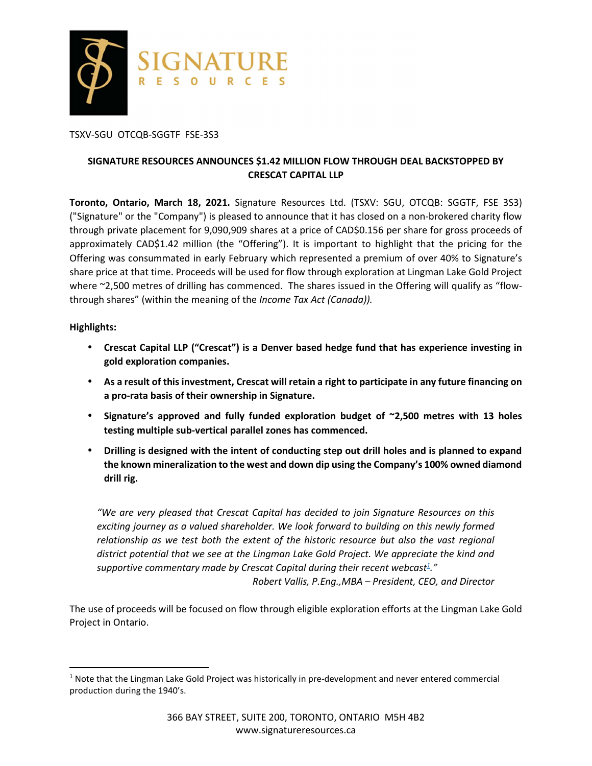

#### TSXV-SGU OTCQB-SGGTF FSE-3S3

# **SIGNATURE RESOURCES ANNOUNCES \$1.42 MILLION FLOW THROUGH DEAL BACKSTOPPED BY CRESCAT CAPITAL LLP**

**Toronto, Ontario, March 18, 2021.** Signature Resources Ltd. (TSXV: SGU, OTCQB: SGGTF, FSE 3S3) ("Signature" or the "Company") is pleased to announce that it has closed on a non-brokered charity flow through private placement for 9,090,909 shares at a price of CAD\$0.156 per share for gross proceeds of approximately CAD\$1.42 million (the "Offering"). It is important to highlight that the pricing for the Offering was consummated in early February which represented a premium of over 40% to Signature's share price at that time. Proceeds will be used for flow through exploration at Lingman Lake Gold Project where ~2,500 metres of drilling has commenced. The shares issued in the Offering will qualify as "flowthrough shares" (within the meaning of the *Income Tax Act (Canada)).*

#### **Highlights:**

<u>.</u>

- **Crescat Capital LLP ("Crescat") is a Denver based hedge fund that has experience investing in gold exploration companies.**
- **As a result of this investment, Crescat will retain a right to participate in any future financing on a pro-rata basis of their ownership in Signature.**
- **Signature's approved and fully funded exploration budget of ~2,500 metres with 13 holes testing multiple sub-vertical parallel zones has commenced.**
- **Drilling is designed with the intent of conducting step out drill holes and is planned to expand the known mineralization to the west and down dip using the Company's 100% owned diamond drill rig.**

*"We are very pleased that Crescat Capital has decided to join Signature Resources on this exciting journey as a valued shareholder. We look forward to building on this newly formed relationship as we test both the extent of the historic resource but also the vast regional district potential that we see at the Lingman Lake Gold Project. We appreciate the kind and supportive commentary made by Crescat Capital during their recent webcast<sup>1</sup> ."* 

*Robert Vallis, P.Eng.,MBA – President, CEO, and Director* 

The use of proceeds will be focused on flow through eligible exploration efforts at the Lingman Lake Gold Project in Ontario.

<sup>&</sup>lt;sup>1</sup> Note that the Lingman Lake Gold Project was historically in pre-development and never entered commercial production during the 1940's.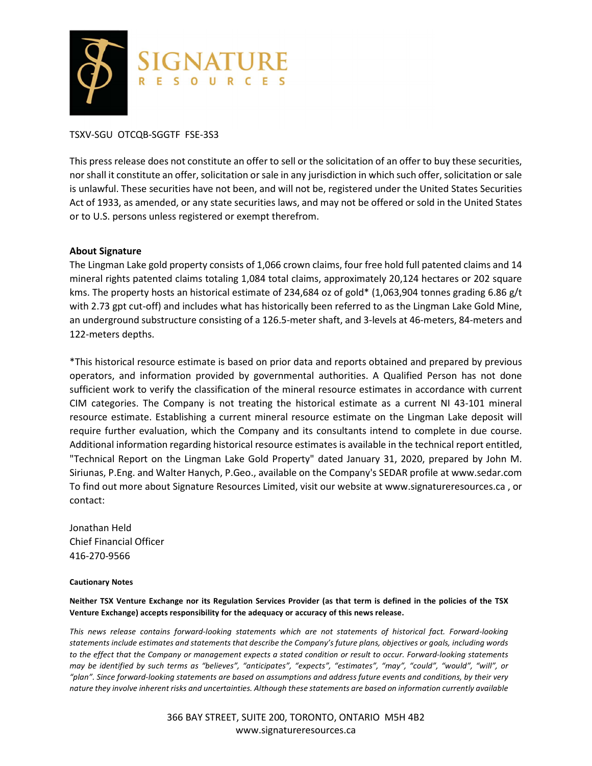

### TSXV-SGU OTCQB-SGGTF FSE-3S3

This press release does not constitute an offer to sell or the solicitation of an offer to buy these securities, nor shall it constitute an offer, solicitation or sale in any jurisdiction in which such offer, solicitation or sale is unlawful. These securities have not been, and will not be, registered under the United States Securities Act of 1933, as amended, or any state securities laws, and may not be offered or sold in the United States or to U.S. persons unless registered or exempt therefrom.

#### **About Signature**

The Lingman Lake gold property consists of 1,066 crown claims, four free hold full patented claims and 14 mineral rights patented claims totaling 1,084 total claims, approximately 20,124 hectares or 202 square kms. The property hosts an historical estimate of 234,684 oz of gold\* (1,063,904 tonnes grading 6.86 g/t with 2.73 gpt cut-off) and includes what has historically been referred to as the Lingman Lake Gold Mine, an underground substructure consisting of a 126.5-meter shaft, and 3-levels at 46-meters, 84-meters and 122-meters depths.

\*This historical resource estimate is based on prior data and reports obtained and prepared by previous operators, and information provided by governmental authorities. A Qualified Person has not done sufficient work to verify the classification of the mineral resource estimates in accordance with current CIM categories. The Company is not treating the historical estimate as a current NI 43-101 mineral resource estimate. Establishing a current mineral resource estimate on the Lingman Lake deposit will require further evaluation, which the Company and its consultants intend to complete in due course. Additional information regarding historical resource estimates is available in the technical report entitled, "Technical Report on the Lingman Lake Gold Property" dated January 31, 2020, prepared by John M. Siriunas, P.Eng. and Walter Hanych, P.Geo., available on the Company's SEDAR profile at www.sedar.com To find out more about Signature Resources Limited, visit our website at www.signatureresources.ca , or contact:

Jonathan Held Chief Financial Officer 416-270-9566

#### **Cautionary Notes**

**Neither TSX Venture Exchange nor its Regulation Services Provider (as that term is defined in the policies of the TSX Venture Exchange) accepts responsibility for the adequacy or accuracy of this news release.**

*This news release contains forward-looking statements which are not statements of historical fact. Forward-looking statements include estimates and statements that describe the Company's future plans, objectives or goals, including words to the effect that the Company or management expects a stated condition or result to occur. Forward-looking statements may be identified by such terms as "believes", "anticipates", "expects", "estimates", "may", "could", "would", "will", or "plan". Since forward-looking statements are based on assumptions and address future events and conditions, by their very nature they involve inherent risks and uncertainties. Although these statements are based on information currently available* 

> 366 BAY STREET, SUITE 200, TORONTO, ONTARIO M5H 4B2 www.signatureresources.ca